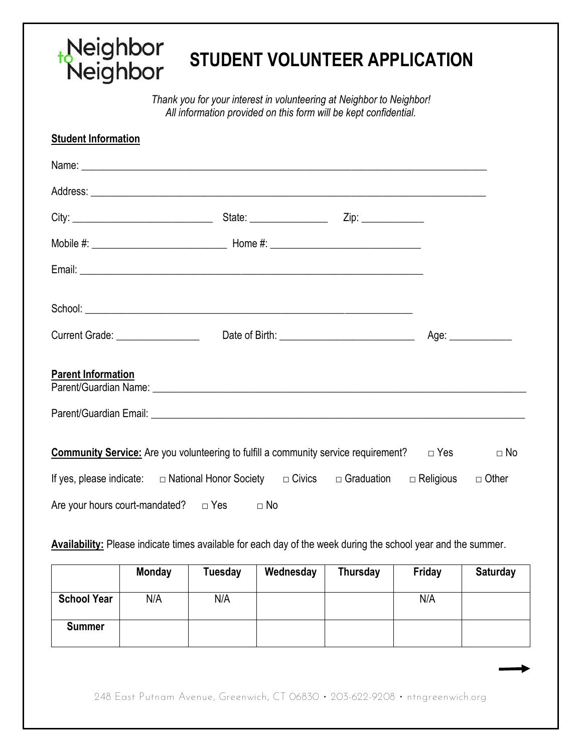## Neighbor<br>Neighbor **STUDENT VOLUNTEER APPLICATION**

*Thank you for your interest in volunteering at Neighbor to Neighbor! All information provided on this form will be kept confidential.* 

| <b>Student Information</b>                                                                              |           |      |           |
|---------------------------------------------------------------------------------------------------------|-----------|------|-----------|
|                                                                                                         |           |      |           |
|                                                                                                         |           |      |           |
|                                                                                                         |           |      |           |
|                                                                                                         |           |      |           |
|                                                                                                         |           |      |           |
|                                                                                                         |           |      |           |
|                                                                                                         |           | Age: |           |
| <b>Parent Information</b>                                                                               |           |      |           |
|                                                                                                         |           |      |           |
| <b>Community Service:</b> Are you volunteering to fulfill a community service requirement? $\Box$ Yes   |           |      | $\Box$ No |
| If yes, please indicate: $\Box$ National Honor Society $\Box$ Civics $\Box$ Graduation $\Box$ Religious |           |      | □ Other   |
| Are your hours court-mandated? $\Box$ Yes                                                               | $\Box$ No |      |           |

**Availability:** Please indicate times available for each day of the week during the school year and the summer.

|                    | <b>Monday</b> | Tuesday | Wednesday | Thursday | Friday | <b>Saturday</b> |
|--------------------|---------------|---------|-----------|----------|--------|-----------------|
| <b>School Year</b> | N/A           | N/A     |           |          | N/A    |                 |
| <b>Summer</b>      |               |         |           |          |        |                 |

248 East Putnam Avenue, Greenwich, CT 06830 • 203-622-9208 • ntngreenwich.org